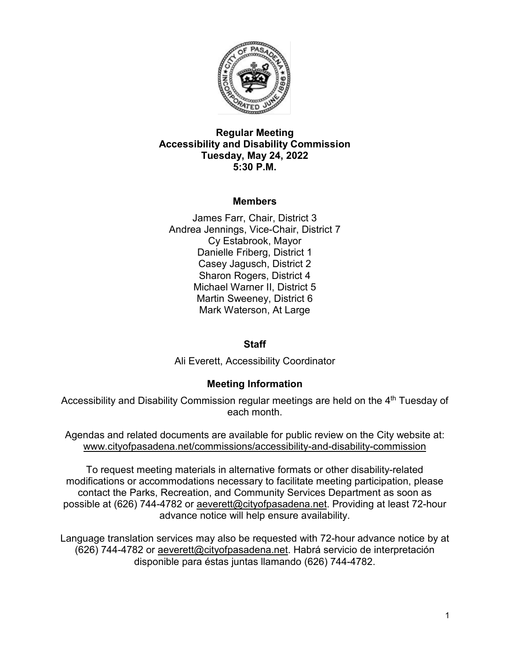

### **Regular Meeting Accessibility and Disability Commission Tuesday, May 24, 2022 5:30 P.M.**

# **Members**

James Farr, Chair, District 3 Andrea Jennings, Vice-Chair, District 7 Cy Estabrook, Mayor Danielle Friberg, District 1 Casey Jagusch, District 2 Sharon Rogers, District 4 Michael Warner II, District 5 Martin Sweeney, District 6 Mark Waterson, At Large

#### **Staff**

Ali Everett, Accessibility Coordinator

# **Meeting Information**

Accessibility and Disability Commission regular meetings are held on the 4<sup>th</sup> Tuesday of each month.

Agendas and related documents are available for public review on the City website at: [www.cityofpasadena.net/commissions/accessibility-and-disability-commission](http://www.cityofpasadena.net/commissions/accessibility-and-disability-commission)

To request meeting materials in alternative formats or other disability-related modifications or accommodations necessary to facilitate meeting participation, please contact the Parks, Recreation, and Community Services Department as soon as possible at (626) 744-4782 or [aeverett@cityofpasadena.net.](mailto:aeverett@cityofpasadena.net) Providing at least 72-hour advance notice will help ensure availability.

Language translation services may also be requested with 72-hour advance notice by at (626) 744-4782 or [aeverett@cityofpasadena.net.](mailto:aeverett@cityofpasadena.net) Habrá servicio de interpretación disponible para éstas juntas llamando (626) 744-4782.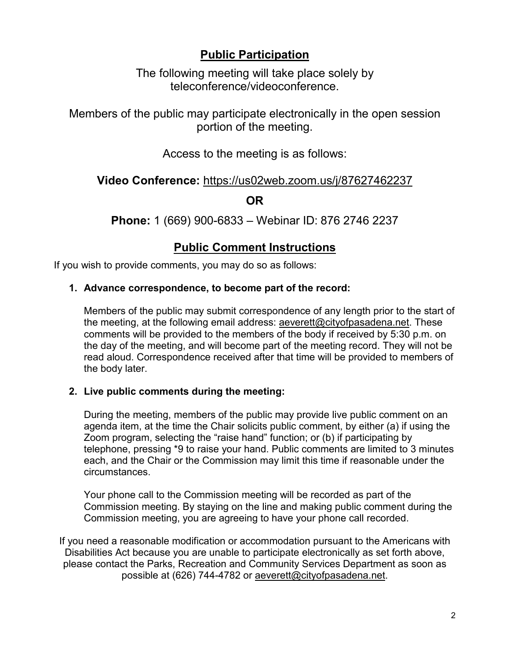# **Public Participation**

The following meeting will take place solely by teleconference/videoconference.

Members of the public may participate electronically in the open session portion of the meeting.

Access to the meeting is as follows:

# **Video Conference:** <https://us02web.zoom.us/j/87627462237>

**OR**

**Phone:** 1 (669) 900-6833 – Webinar ID: 876 2746 2237

# **Public Comment Instructions**

If you wish to provide comments, you may do so as follows:

# **1. Advance correspondence, to become part of the record:**

Members of the public may submit correspondence of any length prior to the start of the meeting, at the following email address: [aeverett@cityofpasadena.net.](mailto:aeverett@cityofpasadena.net) These comments will be provided to the members of the body if received by 5:30 p.m. on the day of the meeting, and will become part of the meeting record. They will not be read aloud. Correspondence received after that time will be provided to members of the body later.

# **2. Live public comments during the meeting:**

During the meeting, members of the public may provide live public comment on an agenda item, at the time the Chair solicits public comment, by either (a) if using the Zoom program, selecting the "raise hand" function; or (b) if participating by telephone, pressing \*9 to raise your hand. Public comments are limited to 3 minutes each, and the Chair or the Commission may limit this time if reasonable under the circumstances.

Your phone call to the Commission meeting will be recorded as part of the Commission meeting. By staying on the line and making public comment during the Commission meeting, you are agreeing to have your phone call recorded.

If you need a reasonable modification or accommodation pursuant to the Americans with Disabilities Act because you are unable to participate electronically as set forth above, please contact the Parks, Recreation and Community Services Department as soon as possible at (626) 744-4782 or [aeverett@cityofpasadena.net.](mailto:aeverett@cityofpasadena.net)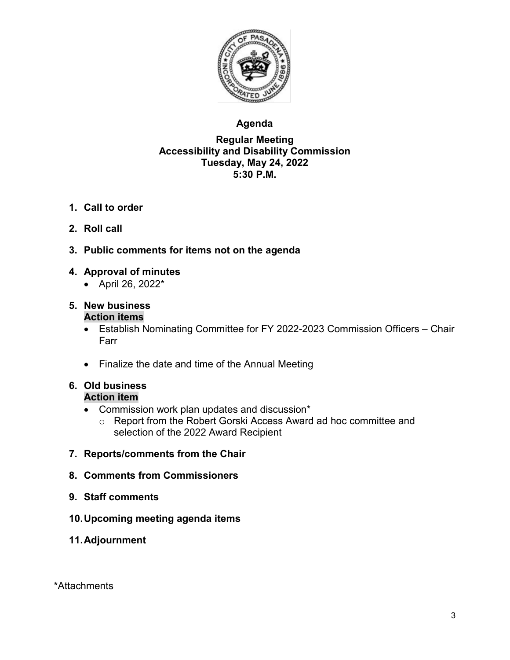

# **Agenda**

### **Regular Meeting Accessibility and Disability Commission Tuesday, May 24, 2022 5:30 P.M.**

- **1. Call to order**
- **2. Roll call**
- **3. Public comments for items not on the agenda**

# **4. Approval of minutes**

• April 26, 2022\*

#### **5. New business Action items**

- Establish Nominating Committee for FY 2022-2023 Commission Officers Chair Farr
- Finalize the date and time of the Annual Meeting

#### **6. Old business Action item**

- Commission work plan updates and discussion\*
	- o Report from the Robert Gorski Access Award ad hoc committee and selection of the 2022 Award Recipient
- **7. Reports/comments from the Chair**
- **8. Comments from Commissioners**
- **9. Staff comments**
- **10.Upcoming meeting agenda items**
- **11.Adjournment**

\*Attachments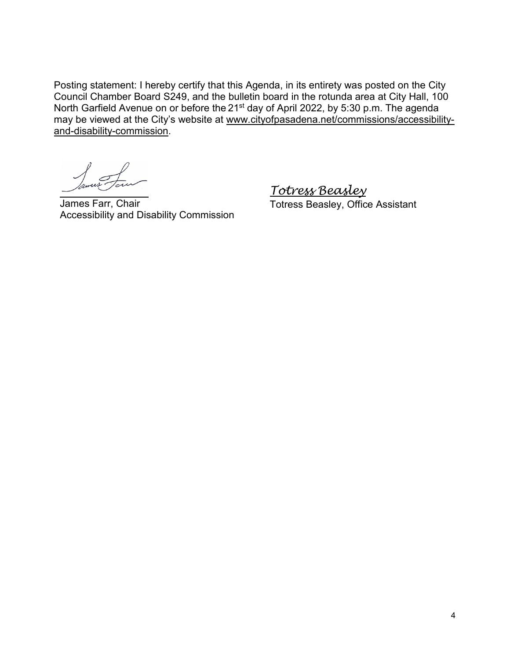Posting statement: I hereby certify that this Agenda, in its entirety was posted on the City Council Chamber Board S249, and the bulletin board in the rotunda area at City Hall, 100 North Garfield Avenue on or before the 21<sup>st</sup> day of April 2022, by 5:30 p.m. The agenda may be viewed at the City's website at [www.cityofpasadena.net/commissions/accessibility](http://www.cityofpasadena.net/commissions/accessibility-and-disability-commission)[and-disability-commission.](http://www.cityofpasadena.net/commissions/accessibility-and-disability-commission)

James Farr, Chair Accessibility and Disability Commission *Totress Beasley* Totress Beasley, Office Assistant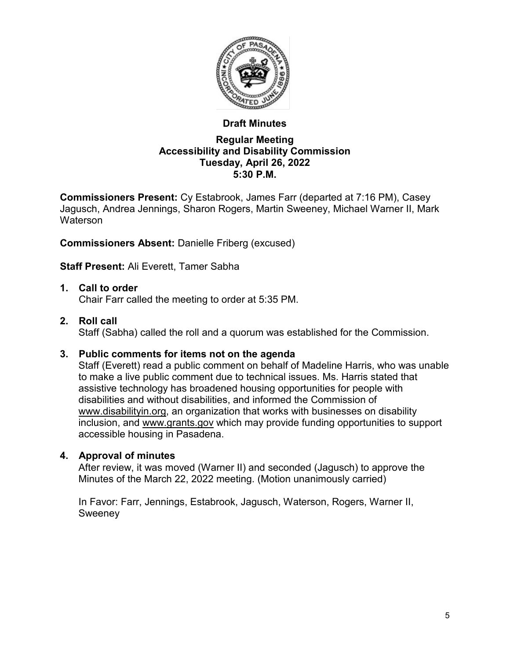

# **Draft Minutes**

#### **Regular Meeting Accessibility and Disability Commission Tuesday, April 26, 2022 5:30 P.M.**

**Commissioners Present:** Cy Estabrook, James Farr (departed at 7:16 PM), Casey Jagusch, Andrea Jennings, Sharon Rogers, Martin Sweeney, Michael Warner II, Mark **Waterson** 

**Commissioners Absent:** Danielle Friberg (excused)

**Staff Present:** Ali Everett, Tamer Sabha

# **1. Call to order**

Chair Farr called the meeting to order at 5:35 PM.

# **2. Roll call**

Staff (Sabha) called the roll and a quorum was established for the Commission.

# **3. Public comments for items not on the agenda**

Staff (Everett) read a public comment on behalf of Madeline Harris, who was unable to make a live public comment due to technical issues. Ms. Harris stated that assistive technology has broadened housing opportunities for people with disabilities and without disabilities, and informed the Commission of [www.disabilityin.org,](http://www.disabilityin.org/) an organization that works with businesses on disability inclusion, and [www.grants.gov](http://www.grants.gov/) which may provide funding opportunities to support accessible housing in Pasadena.

# **4. Approval of minutes**

After review, it was moved (Warner II) and seconded (Jagusch) to approve the Minutes of the March 22, 2022 meeting. (Motion unanimously carried)

In Favor: Farr, Jennings, Estabrook, Jagusch, Waterson, Rogers, Warner II, Sweeney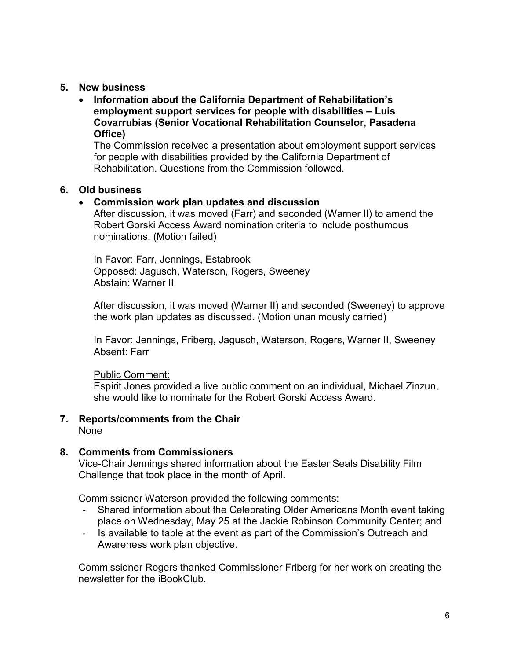#### **5. New business**

• **Information about the California Department of Rehabilitation's employment support services for people with disabilities – Luis Covarrubias (Senior Vocational Rehabilitation Counselor, Pasadena Office)**

The Commission received a presentation about employment support services for people with disabilities provided by the California Department of Rehabilitation. Questions from the Commission followed.

### **6. Old business**

### • **Commission work plan updates and discussion**

After discussion, it was moved (Farr) and seconded (Warner II) to amend the Robert Gorski Access Award nomination criteria to include posthumous nominations. (Motion failed)

In Favor: Farr, Jennings, Estabrook Opposed: Jagusch, Waterson, Rogers, Sweeney Abstain: Warner II

After discussion, it was moved (Warner II) and seconded (Sweeney) to approve the work plan updates as discussed. (Motion unanimously carried)

In Favor: Jennings, Friberg, Jagusch, Waterson, Rogers, Warner II, Sweeney Absent: Farr

Public Comment:

Espirit Jones provided a live public comment on an individual, Michael Zinzun, she would like to nominate for the Robert Gorski Access Award.

# **7. Reports/comments from the Chair**

None

# **8. Comments from Commissioners**

Vice-Chair Jennings shared information about the Easter Seals Disability Film Challenge that took place in the month of April.

Commissioner Waterson provided the following comments:

- Shared information about the Celebrating Older Americans Month event taking place on Wednesday, May 25 at the Jackie Robinson Community Center; and
- Is available to table at the event as part of the Commission's Outreach and Awareness work plan objective.

Commissioner Rogers thanked Commissioner Friberg for her work on creating the newsletter for the iBookClub.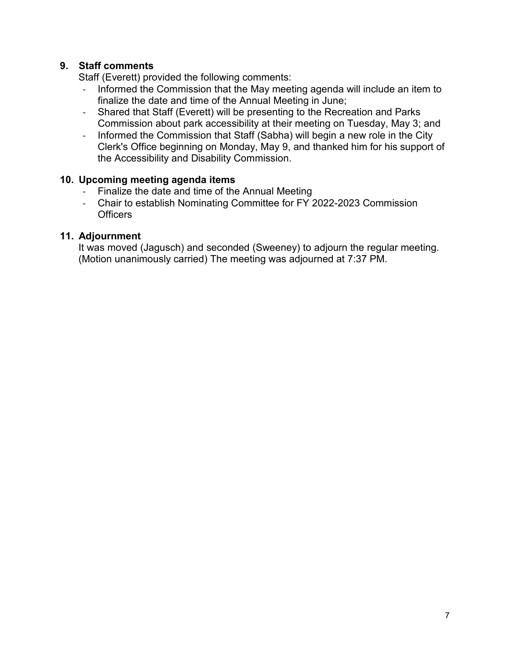# **9. Staff comments**

Staff (Everett) provided the following comments:

- Informed the Commission that the May meeting agenda will include an item to finalize the date and time of the Annual Meeting in June;
- Shared that Staff (Everett) will be presenting to the Recreation and Parks Commission about park accessibility at their meeting on Tuesday, May 3; and
- Informed the Commission that Staff (Sabha) will begin a new role in the City Clerk's Office beginning on Monday, May 9, and thanked him for his support of the Accessibility and Disability Commission.

# **10. Upcoming meeting agenda items**

- Finalize the date and time of the Annual Meeting
- Chair to establish Nominating Committee for FY 2022-2023 Commission **Officers**

### **11. Adjournment**

It was moved (Jagusch) and seconded (Sweeney) to adjourn the regular meeting. (Motion unanimously carried) The meeting was adjourned at 7:37 PM.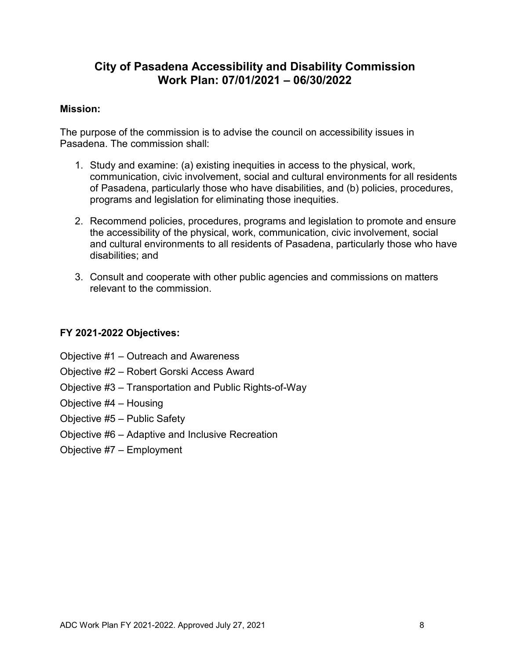# **City of Pasadena Accessibility and Disability Commission Work Plan: 07/01/2021 – 06/30/2022**

#### **Mission:**

The purpose of the commission is to advise the council on accessibility issues in Pasadena. The commission shall:

- 1. Study and examine: (a) existing inequities in access to the physical, work, communication, civic involvement, social and cultural environments for all residents of Pasadena, particularly those who have disabilities, and (b) policies, procedures, programs and legislation for eliminating those inequities.
- 2. Recommend policies, procedures, programs and legislation to promote and ensure the accessibility of the physical, work, communication, civic involvement, social and cultural environments to all residents of Pasadena, particularly those who have disabilities; and
- 3. Consult and cooperate with other public agencies and commissions on matters relevant to the commission.

### **FY 2021-2022 Objectives:**

- Objective #1 [Outreach and Awareness](#page-8-0)
- Objective #2 [Robert Gorski Access Award](#page-11-0)
- Objective #3 [Transportation and Public Rights-of-Way](#page-13-0)
- [Objective #4 –](#page-16-0) Housing
- [Objective #5 –](#page-18-0) Public Safety
- Objective #6 [Adaptive and Inclusive Recreation](#page-20-0)
- [Objective #7 –](#page-23-0) Employment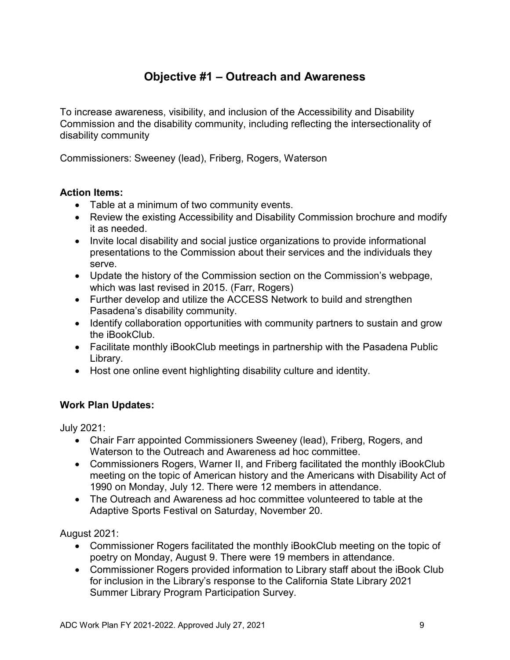# **Objective #1 – Outreach and Awareness**

<span id="page-8-0"></span>To increase awareness, visibility, and inclusion of the Accessibility and Disability Commission and the disability community, including reflecting the intersectionality of disability community

Commissioners: Sweeney (lead), Friberg, Rogers, Waterson

### **Action Items:**

- Table at a minimum of two community events.
- Review the existing Accessibility and Disability Commission brochure and modify it as needed.
- Invite local disability and social justice organizations to provide informational presentations to the Commission about their services and the individuals they serve.
- Update the history of the Commission section on the Commission's webpage, which was last revised in 2015. (Farr, Rogers)
- Further develop and utilize the ACCESS Network to build and strengthen Pasadena's disability community.
- Identify collaboration opportunities with community partners to sustain and grow the iBookClub.
- Facilitate monthly iBookClub meetings in partnership with the Pasadena Public Library.
- Host one online event highlighting disability culture and identity.

# **Work Plan Updates:**

July 2021:

- Chair Farr appointed Commissioners Sweeney (lead), Friberg, Rogers, and Waterson to the Outreach and Awareness ad hoc committee.
- Commissioners Rogers, Warner II, and Friberg facilitated the monthly iBookClub meeting on the topic of American history and the Americans with Disability Act of 1990 on Monday, July 12. There were 12 members in attendance.
- The Outreach and Awareness ad hoc committee volunteered to table at the Adaptive Sports Festival on Saturday, November 20.

August 2021:

- Commissioner Rogers facilitated the monthly iBookClub meeting on the topic of poetry on Monday, August 9. There were 19 members in attendance.
- Commissioner Rogers provided information to Library staff about the iBook Club for inclusion in the Library's response to the California State Library 2021 Summer Library Program Participation Survey.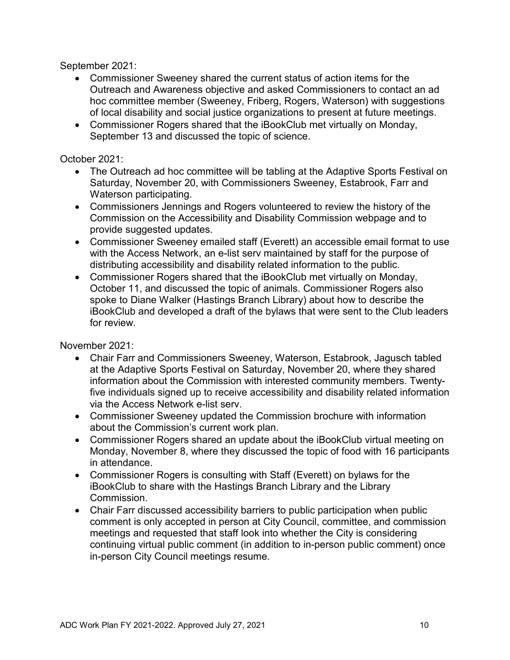September 2021:

- Commissioner Sweeney shared the current status of action items for the Outreach and Awareness objective and asked Commissioners to contact an ad hoc committee member (Sweeney, Friberg, Rogers, Waterson) with suggestions of local disability and social justice organizations to present at future meetings.
- Commissioner Rogers shared that the iBookClub met virtually on Monday, September 13 and discussed the topic of science.

### October 2021:

- The Outreach ad hoc committee will be tabling at the Adaptive Sports Festival on Saturday, November 20, with Commissioners Sweeney, Estabrook, Farr and Waterson participating.
- Commissioners Jennings and Rogers volunteered to review the history of the Commission on the Accessibility and Disability Commission webpage and to provide suggested updates.
- Commissioner Sweeney emailed staff (Everett) an accessible email format to use with the Access Network, an e-list serv maintained by staff for the purpose of distributing accessibility and disability related information to the public.
- Commissioner Rogers shared that the iBookClub met virtually on Monday, October 11, and discussed the topic of animals. Commissioner Rogers also spoke to Diane Walker (Hastings Branch Library) about how to describe the iBookClub and developed a draft of the bylaws that were sent to the Club leaders for review.

November 2021:

- Chair Farr and Commissioners Sweeney, Waterson, Estabrook, Jagusch tabled at the Adaptive Sports Festival on Saturday, November 20, where they shared information about the Commission with interested community members. Twentyfive individuals signed up to receive accessibility and disability related information via the Access Network e-list serv.
- Commissioner Sweeney updated the Commission brochure with information about the Commission's current work plan.
- Commissioner Rogers shared an update about the iBookClub virtual meeting on Monday, November 8, where they discussed the topic of food with 16 participants in attendance.
- Commissioner Rogers is consulting with Staff (Everett) on bylaws for the iBookClub to share with the Hastings Branch Library and the Library Commission.
- Chair Farr discussed accessibility barriers to public participation when public comment is only accepted in person at City Council, committee, and commission meetings and requested that staff look into whether the City is considering continuing virtual public comment (in addition to in-person public comment) once in-person City Council meetings resume.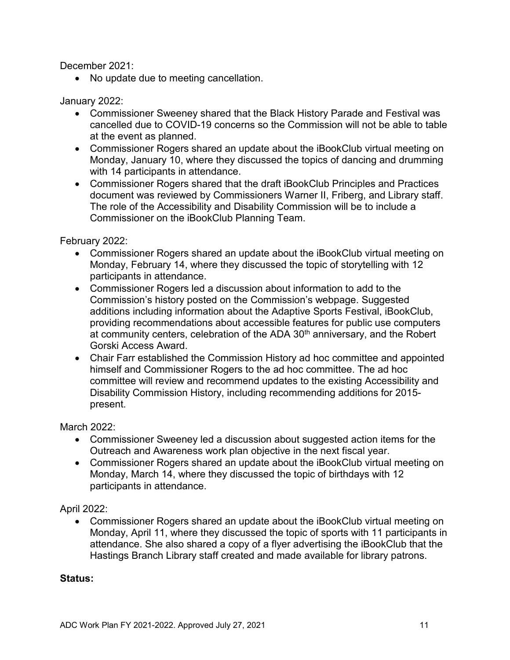December 2021:

• No update due to meeting cancellation.

January 2022:

- Commissioner Sweeney shared that the Black History Parade and Festival was cancelled due to COVID-19 concerns so the Commission will not be able to table at the event as planned.
- Commissioner Rogers shared an update about the iBookClub virtual meeting on Monday, January 10, where they discussed the topics of dancing and drumming with 14 participants in attendance.
- Commissioner Rogers shared that the draft iBookClub Principles and Practices document was reviewed by Commissioners Warner II, Friberg, and Library staff. The role of the Accessibility and Disability Commission will be to include a Commissioner on the iBookClub Planning Team.

February 2022:

- Commissioner Rogers shared an update about the iBookClub virtual meeting on Monday, February 14, where they discussed the topic of storytelling with 12 participants in attendance.
- Commissioner Rogers led a discussion about information to add to the Commission's history posted on the Commission's webpage. Suggested additions including information about the Adaptive Sports Festival, iBookClub, providing recommendations about accessible features for public use computers at community centers, celebration of the ADA 30<sup>th</sup> anniversary, and the Robert Gorski Access Award.
- Chair Farr established the Commission History ad hoc committee and appointed himself and Commissioner Rogers to the ad hoc committee. The ad hoc committee will review and recommend updates to the existing Accessibility and Disability Commission History, including recommending additions for 2015 present.

March 2022:

- Commissioner Sweeney led a discussion about suggested action items for the Outreach and Awareness work plan objective in the next fiscal year.
- Commissioner Rogers shared an update about the iBookClub virtual meeting on Monday, March 14, where they discussed the topic of birthdays with 12 participants in attendance.

April 2022:

• Commissioner Rogers shared an update about the iBookClub virtual meeting on Monday, April 11, where they discussed the topic of sports with 11 participants in attendance. She also shared a copy of a flyer advertising the iBookClub that the Hastings Branch Library staff created and made available for library patrons.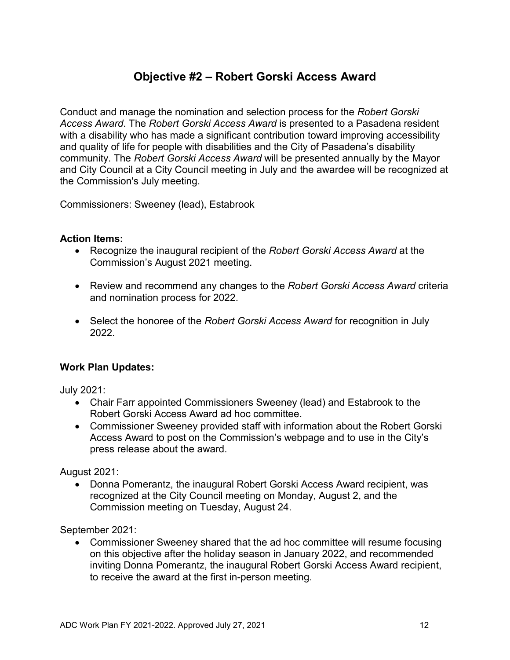# **Objective #2 – Robert Gorski Access Award**

<span id="page-11-0"></span>Conduct and manage the nomination and selection process for the *Robert Gorski Access Award*. The *Robert Gorski Access Award* is presented to a Pasadena resident with a disability who has made a significant contribution toward improving accessibility and quality of life for people with disabilities and the City of Pasadena's disability community. The *Robert Gorski Access Award* will be presented annually by the Mayor and City Council at a City Council meeting in July and the awardee will be recognized at the Commission's July meeting.

Commissioners: Sweeney (lead), Estabrook

#### **Action Items:**

- Recognize the inaugural recipient of the *Robert Gorski Access Award* at the Commission's August 2021 meeting.
- Review and recommend any changes to the *Robert Gorski Access Award* criteria and nomination process for 2022.
- Select the honoree of the *Robert Gorski Access Award* for recognition in July 2022.

#### **Work Plan Updates:**

July 2021:

- Chair Farr appointed Commissioners Sweeney (lead) and Estabrook to the Robert Gorski Access Award ad hoc committee.
- Commissioner Sweeney provided staff with information about the Robert Gorski Access Award to post on the Commission's webpage and to use in the City's press release about the award.

August 2021:

• Donna Pomerantz, the inaugural Robert Gorski Access Award recipient, was recognized at the City Council meeting on Monday, August 2, and the Commission meeting on Tuesday, August 24.

September 2021:

• Commissioner Sweeney shared that the ad hoc committee will resume focusing on this objective after the holiday season in January 2022, and recommended inviting Donna Pomerantz, the inaugural Robert Gorski Access Award recipient, to receive the award at the first in-person meeting.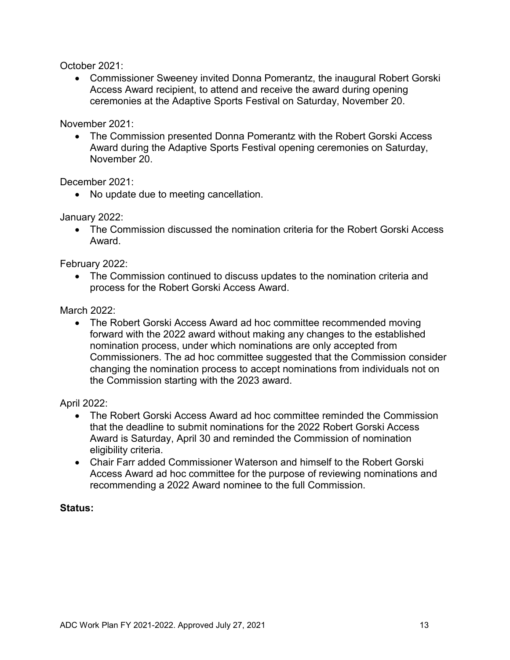October 2021:

• Commissioner Sweeney invited Donna Pomerantz, the inaugural Robert Gorski Access Award recipient, to attend and receive the award during opening ceremonies at the Adaptive Sports Festival on Saturday, November 20.

November 2021:

• The Commission presented Donna Pomerantz with the Robert Gorski Access Award during the Adaptive Sports Festival opening ceremonies on Saturday, November 20.

December 2021:

• No update due to meeting cancellation.

January 2022:

• The Commission discussed the nomination criteria for the Robert Gorski Access Award.

February 2022:

• The Commission continued to discuss updates to the nomination criteria and process for the Robert Gorski Access Award.

March 2022:

• The Robert Gorski Access Award ad hoc committee recommended moving forward with the 2022 award without making any changes to the established nomination process, under which nominations are only accepted from Commissioners. The ad hoc committee suggested that the Commission consider changing the nomination process to accept nominations from individuals not on the Commission starting with the 2023 award.

April 2022:

- The Robert Gorski Access Award ad hoc committee reminded the Commission that the deadline to submit nominations for the 2022 Robert Gorski Access Award is Saturday, April 30 and reminded the Commission of nomination eligibility criteria.
- Chair Farr added Commissioner Waterson and himself to the Robert Gorski Access Award ad hoc committee for the purpose of reviewing nominations and recommending a 2022 Award nominee to the full Commission.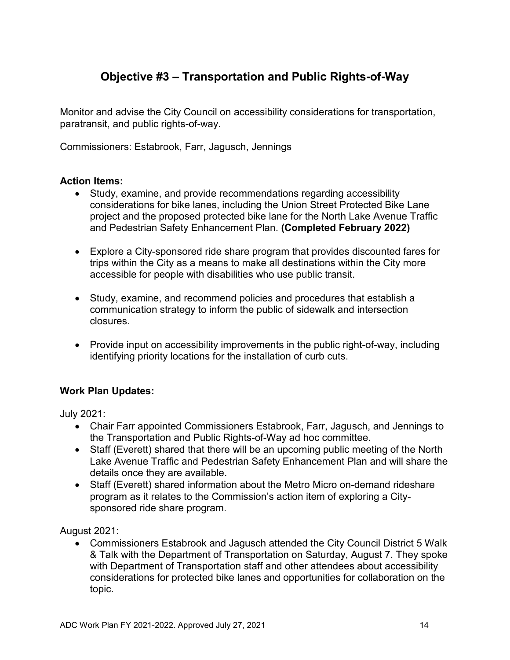# <span id="page-13-0"></span>**Objective #3 – Transportation and Public Rights-of-Way**

Monitor and advise the City Council on accessibility considerations for transportation, paratransit, and public rights-of-way.

Commissioners: Estabrook, Farr, Jagusch, Jennings

### **Action Items:**

- Study, examine, and provide recommendations regarding accessibility considerations for bike lanes, including the Union Street Protected Bike Lane project and the proposed protected bike lane for the North Lake Avenue Traffic and Pedestrian Safety Enhancement Plan. **(Completed February 2022)**
- Explore a City-sponsored ride share program that provides discounted fares for trips within the City as a means to make all destinations within the City more accessible for people with disabilities who use public transit.
- Study, examine, and recommend policies and procedures that establish a communication strategy to inform the public of sidewalk and intersection closures.
- Provide input on accessibility improvements in the public right-of-way, including identifying priority locations for the installation of curb cuts.

# **Work Plan Updates:**

July 2021:

- Chair Farr appointed Commissioners Estabrook, Farr, Jagusch, and Jennings to the Transportation and Public Rights-of-Way ad hoc committee.
- Staff (Everett) shared that there will be an upcoming public meeting of the North Lake Avenue Traffic and Pedestrian Safety Enhancement Plan and will share the details once they are available.
- Staff (Everett) shared information about the Metro Micro on-demand rideshare program as it relates to the Commission's action item of exploring a Citysponsored ride share program.

August 2021:

• Commissioners Estabrook and Jagusch attended the City Council District 5 Walk & Talk with the Department of Transportation on Saturday, August 7. They spoke with Department of Transportation staff and other attendees about accessibility considerations for protected bike lanes and opportunities for collaboration on the topic.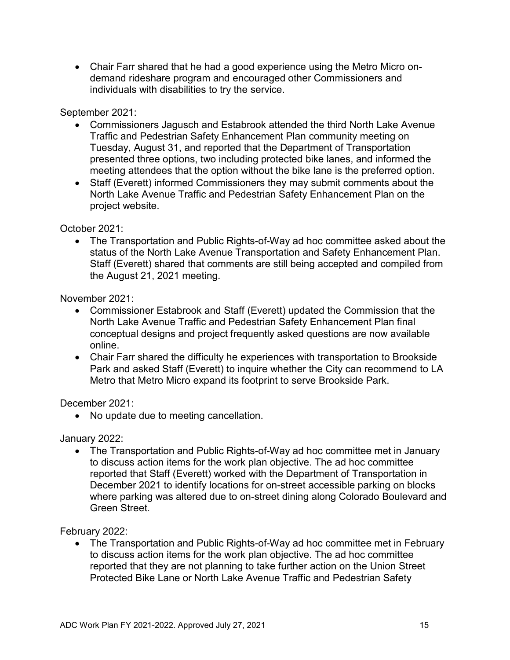• Chair Farr shared that he had a good experience using the Metro Micro ondemand rideshare program and encouraged other Commissioners and individuals with disabilities to try the service.

September 2021:

- Commissioners Jagusch and Estabrook attended the third North Lake Avenue Traffic and Pedestrian Safety Enhancement Plan community meeting on Tuesday, August 31, and reported that the Department of Transportation presented three options, two including protected bike lanes, and informed the meeting attendees that the option without the bike lane is the preferred option.
- Staff (Everett) informed Commissioners they may submit comments about the North Lake Avenue Traffic and Pedestrian Safety Enhancement Plan on the project website.

October 2021:

• The Transportation and Public Rights-of-Way ad hoc committee asked about the status of the North Lake Avenue Transportation and Safety Enhancement Plan. Staff (Everett) shared that comments are still being accepted and compiled from the August 21, 2021 meeting.

November 2021:

- Commissioner Estabrook and Staff (Everett) updated the Commission that the North Lake Avenue Traffic and Pedestrian Safety Enhancement Plan final conceptual designs and project frequently asked questions are now available online.
- Chair Farr shared the difficulty he experiences with transportation to Brookside Park and asked Staff (Everett) to inquire whether the City can recommend to LA Metro that Metro Micro expand its footprint to serve Brookside Park.

December 2021:

• No update due to meeting cancellation.

January 2022:

• The Transportation and Public Rights-of-Way ad hoc committee met in January to discuss action items for the work plan objective. The ad hoc committee reported that Staff (Everett) worked with the Department of Transportation in December 2021 to identify locations for on-street accessible parking on blocks where parking was altered due to on-street dining along Colorado Boulevard and Green Street.

February 2022:

• The Transportation and Public Rights-of-Way ad hoc committee met in February to discuss action items for the work plan objective. The ad hoc committee reported that they are not planning to take further action on the Union Street Protected Bike Lane or North Lake Avenue Traffic and Pedestrian Safety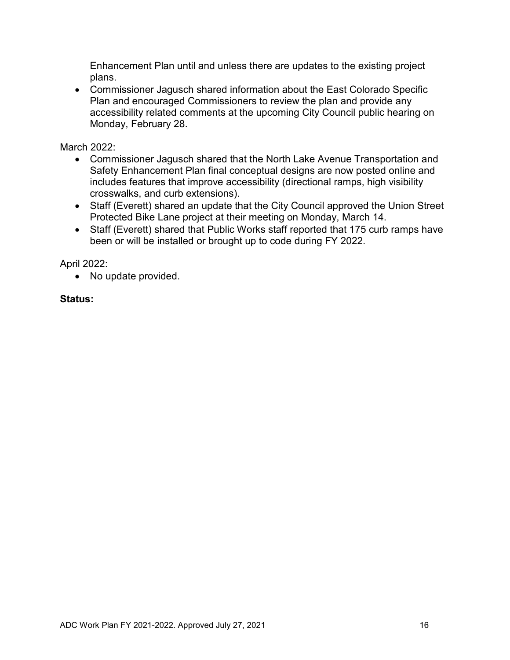Enhancement Plan until and unless there are updates to the existing project plans.

• Commissioner Jagusch shared information about the East Colorado Specific Plan and encouraged Commissioners to review the plan and provide any accessibility related comments at the upcoming City Council public hearing on Monday, February 28.

March 2022:

- Commissioner Jagusch shared that the North Lake Avenue Transportation and Safety Enhancement Plan final conceptual designs are now posted online and includes features that improve accessibility (directional ramps, high visibility crosswalks, and curb extensions).
- Staff (Everett) shared an update that the City Council approved the Union Street Protected Bike Lane project at their meeting on Monday, March 14.
- Staff (Everett) shared that Public Works staff reported that 175 curb ramps have been or will be installed or brought up to code during FY 2022.

April 2022:

• No update provided.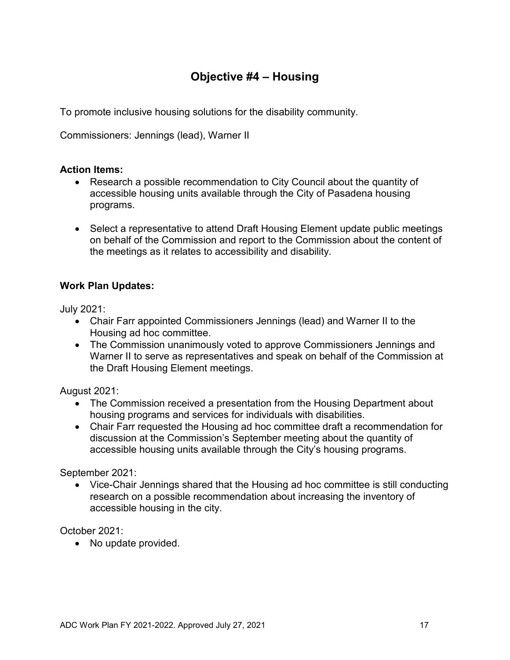# **Objective #4 – Housing**

<span id="page-16-0"></span>To promote inclusive housing solutions for the disability community.

Commissioners: Jennings (lead), Warner II

### **Action Items:**

- Research a possible recommendation to City Council about the quantity of accessible housing units available through the City of Pasadena housing programs.
- Select a representative to attend Draft Housing Element update public meetings on behalf of the Commission and report to the Commission about the content of the meetings as it relates to accessibility and disability.

# **Work Plan Updates:**

July 2021:

- Chair Farr appointed Commissioners Jennings (lead) and Warner II to the Housing ad hoc committee.
- The Commission unanimously voted to approve Commissioners Jennings and Warner II to serve as representatives and speak on behalf of the Commission at the Draft Housing Element meetings.

August 2021:

- The Commission received a presentation from the Housing Department about housing programs and services for individuals with disabilities.
- Chair Farr requested the Housing ad hoc committee draft a recommendation for discussion at the Commission's September meeting about the quantity of accessible housing units available through the City's housing programs.

September 2021:

• Vice-Chair Jennings shared that the Housing ad hoc committee is still conducting research on a possible recommendation about increasing the inventory of accessible housing in the city.

October 2021:

• No update provided.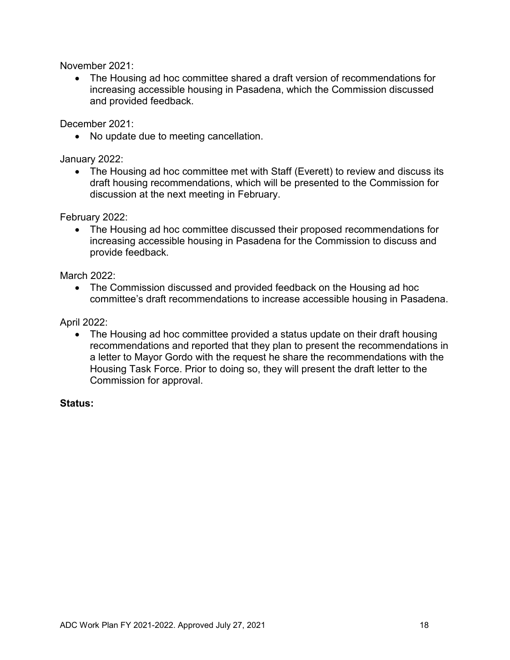November 2021:

• The Housing ad hoc committee shared a draft version of recommendations for increasing accessible housing in Pasadena, which the Commission discussed and provided feedback.

December 2021:

• No update due to meeting cancellation.

January 2022:

• The Housing ad hoc committee met with Staff (Everett) to review and discuss its draft housing recommendations, which will be presented to the Commission for discussion at the next meeting in February.

February 2022:

• The Housing ad hoc committee discussed their proposed recommendations for increasing accessible housing in Pasadena for the Commission to discuss and provide feedback.

March 2022:

• The Commission discussed and provided feedback on the Housing ad hoc committee's draft recommendations to increase accessible housing in Pasadena.

April 2022:

• The Housing ad hoc committee provided a status update on their draft housing recommendations and reported that they plan to present the recommendations in a letter to Mayor Gordo with the request he share the recommendations with the Housing Task Force. Prior to doing so, they will present the draft letter to the Commission for approval.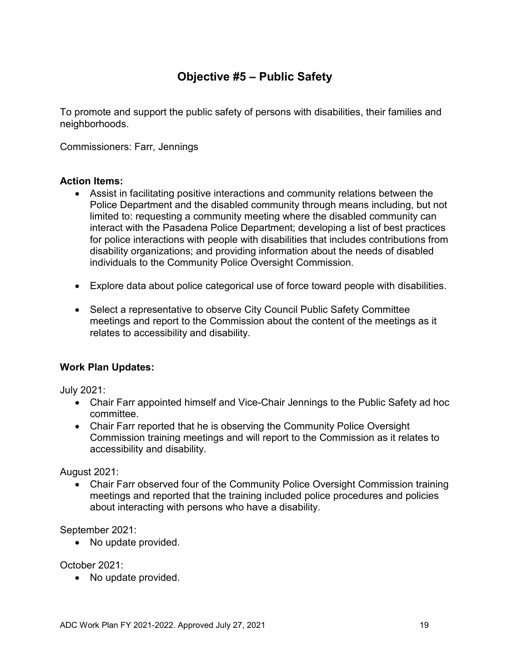# **Objective #5 – Public Safety**

<span id="page-18-0"></span>To promote and support the public safety of persons with disabilities, their families and neighborhoods.

Commissioners: Farr, Jennings

#### **Action Items:**

- Assist in facilitating positive interactions and community relations between the Police Department and the disabled community through means including, but not limited to: requesting a community meeting where the disabled community can interact with the Pasadena Police Department; developing a list of best practices for police interactions with people with disabilities that includes contributions from disability organizations; and providing information about the needs of disabled individuals to the Community Police Oversight Commission.
- Explore data about police categorical use of force toward people with disabilities.
- Select a representative to observe City Council Public Safety Committee meetings and report to the Commission about the content of the meetings as it relates to accessibility and disability.

#### **Work Plan Updates:**

July 2021:

- Chair Farr appointed himself and Vice-Chair Jennings to the Public Safety ad hoc committee.
- Chair Farr reported that he is observing the Community Police Oversight Commission training meetings and will report to the Commission as it relates to accessibility and disability.

August 2021:

• Chair Farr observed four of the Community Police Oversight Commission training meetings and reported that the training included police procedures and policies about interacting with persons who have a disability.

September 2021:

• No update provided.

October 2021:

• No update provided.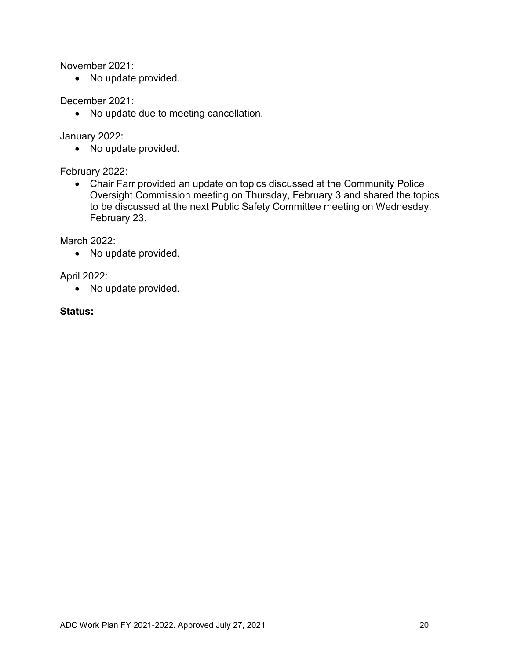November 2021:

• No update provided.

December 2021:

• No update due to meeting cancellation.

January 2022:

• No update provided.

February 2022:

• Chair Farr provided an update on topics discussed at the Community Police Oversight Commission meeting on Thursday, February 3 and shared the topics to be discussed at the next Public Safety Committee meeting on Wednesday, February 23.

March 2022:

• No update provided.

April 2022:

• No update provided.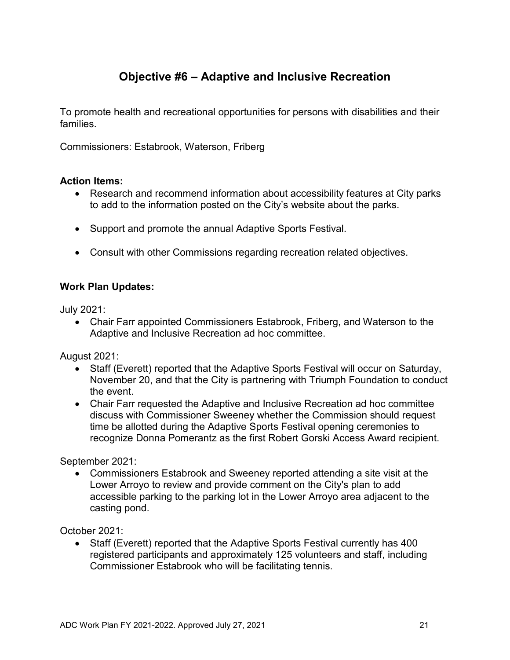# **Objective #6 – Adaptive and Inclusive Recreation**

<span id="page-20-0"></span>To promote health and recreational opportunities for persons with disabilities and their families.

Commissioners: Estabrook, Waterson, Friberg

#### **Action Items:**

- Research and recommend information about accessibility features at City parks to add to the information posted on the City's website about the parks.
- Support and promote the annual Adaptive Sports Festival.
- Consult with other Commissions regarding recreation related objectives.

### **Work Plan Updates:**

July 2021:

• Chair Farr appointed Commissioners Estabrook, Friberg, and Waterson to the Adaptive and Inclusive Recreation ad hoc committee.

August 2021:

- Staff (Everett) reported that the Adaptive Sports Festival will occur on Saturday, November 20, and that the City is partnering with Triumph Foundation to conduct the event.
- Chair Farr requested the Adaptive and Inclusive Recreation ad hoc committee discuss with Commissioner Sweeney whether the Commission should request time be allotted during the Adaptive Sports Festival opening ceremonies to recognize Donna Pomerantz as the first Robert Gorski Access Award recipient.

September 2021:

• Commissioners Estabrook and Sweeney reported attending a site visit at the Lower Arroyo to review and provide comment on the City's plan to add accessible parking to the parking lot in the Lower Arroyo area adjacent to the casting pond.

October 2021:

• Staff (Everett) reported that the Adaptive Sports Festival currently has 400 registered participants and approximately 125 volunteers and staff, including Commissioner Estabrook who will be facilitating tennis.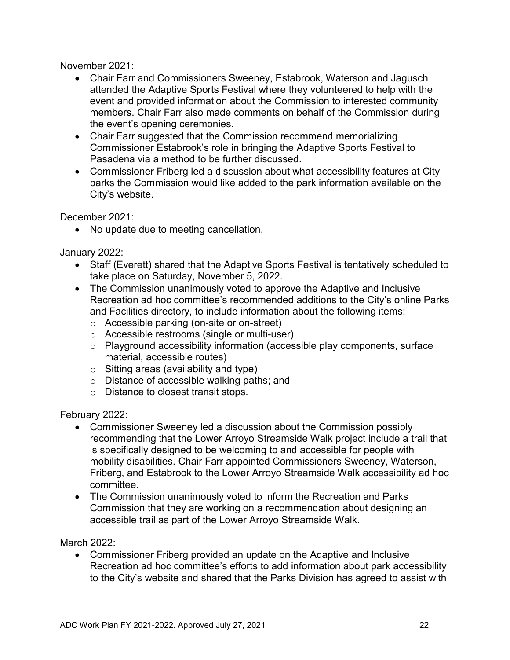November 2021:

- Chair Farr and Commissioners Sweeney, Estabrook, Waterson and Jagusch attended the Adaptive Sports Festival where they volunteered to help with the event and provided information about the Commission to interested community members. Chair Farr also made comments on behalf of the Commission during the event's opening ceremonies.
- Chair Farr suggested that the Commission recommend memorializing Commissioner Estabrook's role in bringing the Adaptive Sports Festival to Pasadena via a method to be further discussed.
- Commissioner Friberg led a discussion about what accessibility features at City parks the Commission would like added to the park information available on the City's website.

December 2021:

• No update due to meeting cancellation.

January 2022:

- Staff (Everett) shared that the Adaptive Sports Festival is tentatively scheduled to take place on Saturday, November 5, 2022.
- The Commission unanimously voted to approve the Adaptive and Inclusive Recreation ad hoc committee's recommended additions to the City's online Parks and Facilities directory, to include information about the following items:
	- o Accessible parking (on-site or on-street)
	- o Accessible restrooms (single or multi-user)
	- o Playground accessibility information (accessible play components, surface material, accessible routes)
	- o Sitting areas (availability and type)
	- o Distance of accessible walking paths; and
	- o Distance to closest transit stops.

February 2022:

- Commissioner Sweeney led a discussion about the Commission possibly recommending that the Lower Arroyo Streamside Walk project include a trail that is specifically designed to be welcoming to and accessible for people with mobility disabilities. Chair Farr appointed Commissioners Sweeney, Waterson, Friberg, and Estabrook to the Lower Arroyo Streamside Walk accessibility ad hoc committee.
- The Commission unanimously voted to inform the Recreation and Parks Commission that they are working on a recommendation about designing an accessible trail as part of the Lower Arroyo Streamside Walk.

March 2022:

• Commissioner Friberg provided an update on the Adaptive and Inclusive Recreation ad hoc committee's efforts to add information about park accessibility to the City's website and shared that the Parks Division has agreed to assist with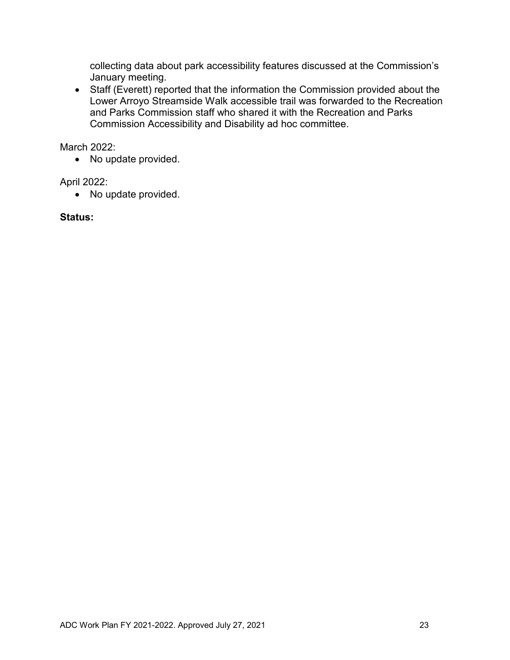collecting data about park accessibility features discussed at the Commission's January meeting.

• Staff (Everett) reported that the information the Commission provided about the Lower Arroyo Streamside Walk accessible trail was forwarded to the Recreation and Parks Commission staff who shared it with the Recreation and Parks Commission Accessibility and Disability ad hoc committee.

March 2022:

• No update provided.

April 2022:

• No update provided.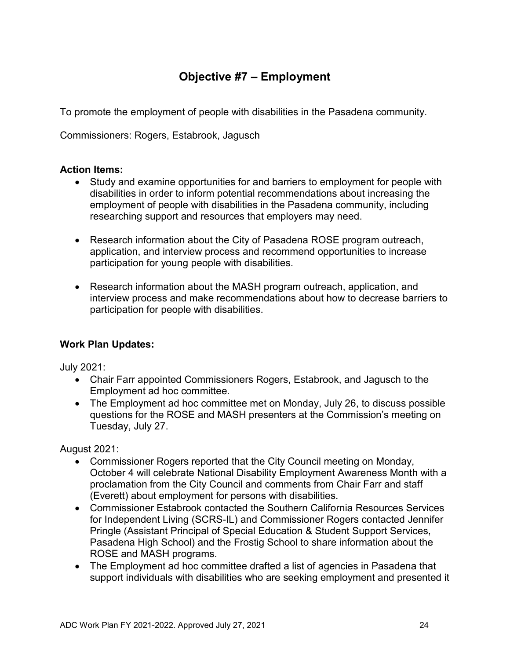# **Objective #7 – Employment**

<span id="page-23-0"></span>To promote the employment of people with disabilities in the Pasadena community.

Commissioners: Rogers, Estabrook, Jagusch

#### **Action Items:**

- Study and examine opportunities for and barriers to employment for people with disabilities in order to inform potential recommendations about increasing the employment of people with disabilities in the Pasadena community, including researching support and resources that employers may need.
- Research information about the City of Pasadena ROSE program outreach, application, and interview process and recommend opportunities to increase participation for young people with disabilities.
- Research information about the MASH program outreach, application, and interview process and make recommendations about how to decrease barriers to participation for people with disabilities.

# **Work Plan Updates:**

July 2021:

- Chair Farr appointed Commissioners Rogers, Estabrook, and Jagusch to the Employment ad hoc committee.
- The Employment ad hoc committee met on Monday, July 26, to discuss possible questions for the ROSE and MASH presenters at the Commission's meeting on Tuesday, July 27.

August 2021:

- Commissioner Rogers reported that the City Council meeting on Monday, October 4 will celebrate National Disability Employment Awareness Month with a proclamation from the City Council and comments from Chair Farr and staff (Everett) about employment for persons with disabilities.
- Commissioner Estabrook contacted the Southern California Resources Services for Independent Living (SCRS-IL) and Commissioner Rogers contacted Jennifer Pringle (Assistant Principal of Special Education & Student Support Services, Pasadena High School) and the Frostig School to share information about the ROSE and MASH programs.
- The Employment ad hoc committee drafted a list of agencies in Pasadena that support individuals with disabilities who are seeking employment and presented it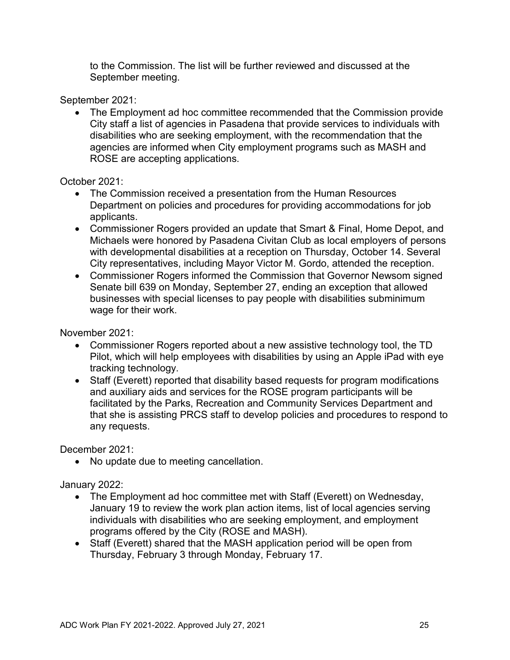to the Commission. The list will be further reviewed and discussed at the September meeting.

September 2021:

• The Employment ad hoc committee recommended that the Commission provide City staff a list of agencies in Pasadena that provide services to individuals with disabilities who are seeking employment, with the recommendation that the agencies are informed when City employment programs such as MASH and ROSE are accepting applications.

October 2021:

- The Commission received a presentation from the Human Resources Department on policies and procedures for providing accommodations for job applicants.
- Commissioner Rogers provided an update that Smart & Final, Home Depot, and Michaels were honored by Pasadena Civitan Club as local employers of persons with developmental disabilities at a reception on Thursday, October 14. Several City representatives, including Mayor Victor M. Gordo, attended the reception.
- Commissioner Rogers informed the Commission that Governor Newsom signed Senate bill 639 on Monday, September 27, ending an exception that allowed businesses with special licenses to pay people with disabilities subminimum wage for their work.

November 2021:

- Commissioner Rogers reported about a new assistive technology tool, the TD Pilot, which will help employees with disabilities by using an Apple iPad with eye tracking technology.
- Staff (Everett) reported that disability based requests for program modifications and auxiliary aids and services for the ROSE program participants will be facilitated by the Parks, Recreation and Community Services Department and that she is assisting PRCS staff to develop policies and procedures to respond to any requests.

December 2021:

• No update due to meeting cancellation.

January 2022:

- The Employment ad hoc committee met with Staff (Everett) on Wednesday, January 19 to review the work plan action items, list of local agencies serving individuals with disabilities who are seeking employment, and employment programs offered by the City (ROSE and MASH).
- Staff (Everett) shared that the MASH application period will be open from Thursday, February 3 through Monday, February 17.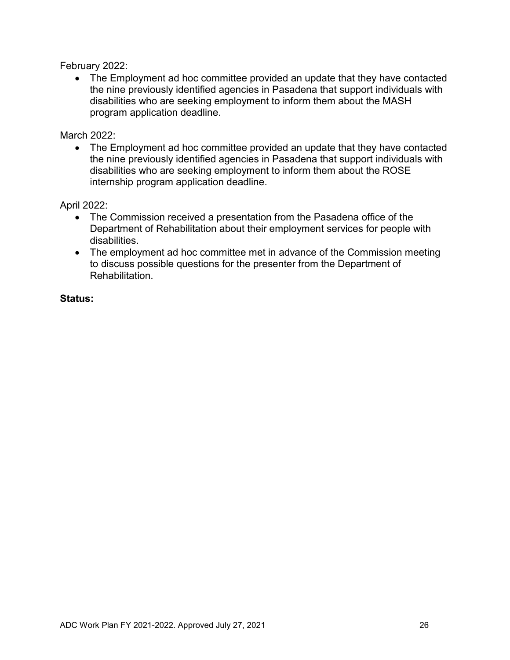February 2022:

• The Employment ad hoc committee provided an update that they have contacted the nine previously identified agencies in Pasadena that support individuals with disabilities who are seeking employment to inform them about the MASH program application deadline.

March 2022:

• The Employment ad hoc committee provided an update that they have contacted the nine previously identified agencies in Pasadena that support individuals with disabilities who are seeking employment to inform them about the ROSE internship program application deadline.

April 2022:

- The Commission received a presentation from the Pasadena office of the Department of Rehabilitation about their employment services for people with disabilities.
- The employment ad hoc committee met in advance of the Commission meeting to discuss possible questions for the presenter from the Department of **Rehabilitation**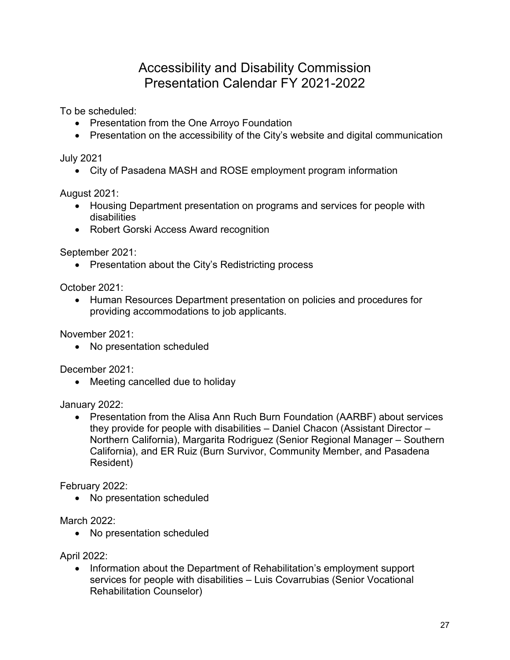# Accessibility and Disability Commission Presentation Calendar FY 2021-2022

To be scheduled:

- Presentation from the One Arroyo Foundation
- Presentation on the accessibility of the City's website and digital communication

July 2021

• City of Pasadena MASH and ROSE employment program information

August 2021:

- Housing Department presentation on programs and services for people with disabilities
- Robert Gorski Access Award recognition

September 2021:

• Presentation about the City's Redistricting process

October 2021:

• Human Resources Department presentation on policies and procedures for providing accommodations to job applicants.

November 2021:

• No presentation scheduled

December 2021:

• Meeting cancelled due to holiday

January 2022:

• Presentation from the Alisa Ann Ruch Burn Foundation (AARBF) about services they provide for people with disabilities – Daniel Chacon (Assistant Director – Northern California), Margarita Rodriguez (Senior Regional Manager – Southern California), and ER Ruiz (Burn Survivor, Community Member, and Pasadena Resident)

February 2022:

• No presentation scheduled

March 2022:

• No presentation scheduled

April 2022:

• Information about the Department of Rehabilitation's employment support services for people with disabilities – Luis Covarrubias (Senior Vocational Rehabilitation Counselor)